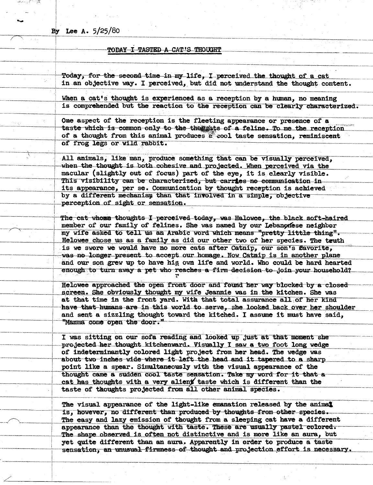By Lee A.  $5/25/80$ 

## TODAY I TASTED A CAT'S THOUGHT

Today, for the second time in my life, I perceived the thought of a cat in an objective way. I perceived, but did not understand the thought content.

When a cat's thought is experienced as a reception by a human, no meaning is comprehended but the reaction to the reception can be clearly characterized.

One aspect of the reception is the fleeting appearance or presence of a taste which is common only to the their ats of a feline. To me the reception of a thought from this animal produces a cool taste sensation, reminiscent of frog legs or wild rabbit.

All animals, like man, produce something that can be visually perceived, when the thought is both cohesive and projected. When perceived via the macular (slightly out of focus) part of the eye, it is clearly visible. This visibility can be characterized, but carries no communication in its appearance, per se. Communication by thought reception is achieved by a different mechanism than that involved in a simple, objective perception of sight or sensation.

The cat whome thoughts I perceived today, was Halowee, the black soft-haired member of our family of felines. She was named by our Lebanonese neighbor my wife asked to tell us an Arabic word which means "pretty little thing". Helowee chose us as a family as did our other two of her species. The teuth is we swore we would have no more cats after Catnip, our son's favorite, was no longer present to accept our homage. Now Catnip is in another plane and our son grew up to have his own life and world. Who could be hard hearted enough to turn away a pet who reaches a firm decision to join your household?

Helowee approached the open front door and found her way blocked by a closed screen. She obviously thought my wife Jeannie was in the kitchen. She was at that time in the front yard. With that total assurance all of her kind have that humans are in this world to serve, she looked back over her shoulder and sent a sizzling thought toward the kitched. I assume it must have said, "Mamma come open the door."

I was sitting on our sofa reading and looked up just at that moment she projected her thought kitchenward. Visually I saw a two foot long wedge of indeterminantly colored light project from her head. The wedge was about two inches wide where it left the head and it tapered to a sharp point like a spear. Simultaneously with the visual appearance of the thought came a sudden cool taste sensation. Take my word for it that a cat has thoughts with a very alient taste which is different than the taste of thoughts projected from all other animal species.

The visual appearance of the light-like emanation released by the animal is, however, no different than produced by thoughts from other species. The easy and lazy emission of thought from a sleeping cat have a different appearance than the thought with taste. These are usually pastel colored. The shape observed is often not distinctive and is more like an aura, but yet quite different than an aura. Apparently in order to produce a taste sensation, an unusual firmness of thought and projection effort is necessary.